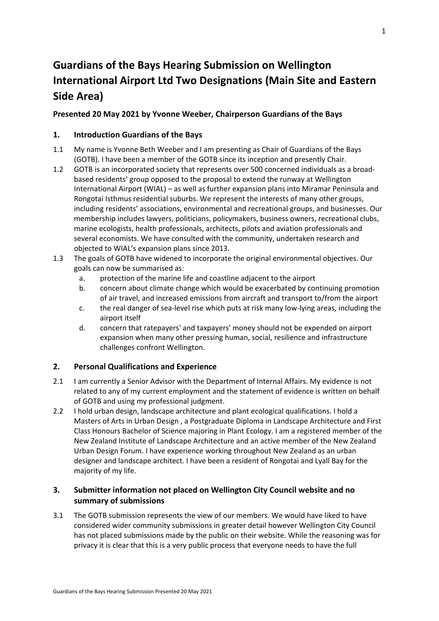# **Guardians of the Bays Hearing Submission on Wellington International Airport Ltd Two Designations (Main Site and Eastern Side Area)**

# **Presented 20 May 2021 by Yvonne Weeber, Chairperson Guardians of the Bays**

## **1. Introduction Guardians of the Bays**

- 1.1 My name is Yvonne Beth Weeber and I am presenting as Chair of Guardians of the Bays (GOTB). I have been a member of the GOTB since its inception and presently Chair.
- 1.2 GOTB is an incorporated society that represents over 500 concerned individuals as a broadbased residents' group opposed to the proposal to extend the runway at Wellington International Airport (WIAL) – as well as further expansion plans into Miramar Peninsula and Rongotai Isthmus residential suburbs. We represent the interests of many other groups, including residents' associations, environmental and recreational groups, and businesses. Our membership includes lawyers, politicians, policymakers, business owners, recreational clubs, marine ecologists, health professionals, architects, pilots and aviation professionals and several economists. We have consulted with the community, undertaken research and objected to WIAL's expansion plans since 2013.
- 1.3 The goals of GOTB have widened to incorporate the original environmental objectives. Our goals can now be summarised as:
	- a. protection of the marine life and coastline adjacent to the airport
	- b. concern about climate change which would be exacerbated by continuing promotion of air travel, and increased emissions from aircraft and transport to/from the airport
	- c. the real danger of sea-level rise which puts at risk many low-lying areas, including the airport itself
	- d. concern that ratepayers' and taxpayers' money should not be expended on airport expansion when many other pressing human, social, resilience and infrastructure challenges confront Wellington.

# **2. Personal Qualifications and Experience**

- 2.1 I am currently a Senior Advisor with the Department of Internal Affairs. My evidence is not related to any of my current employment and the statement of evidence is written on behalf of GOTB and using my professional judgment.
- 2.2 I hold urban design, landscape architecture and plant ecological qualifications. I hold a Masters of Arts in Urban Design , a Postgraduate Diploma in Landscape Architecture and First Class Honours Bachelor of Science majoring in Plant Ecology. I am a registered member of the New Zealand Institute of Landscape Architecture and an active member of the New Zealand Urban Design Forum. I have experience working throughout New Zealand as an urban designer and landscape architect. I have been a resident of Rongotai and Lyall Bay for the majority of my life.

# **3. Submitter information not placed on Wellington City Council website and no summary of submissions**

3.1 The GOTB submission represents the view of our members. We would have liked to have considered wider community submissions in greater detail however Wellington City Council has not placed submissions made by the public on their website. While the reasoning was for privacy it is clear that this is a very public process that everyone needs to have the full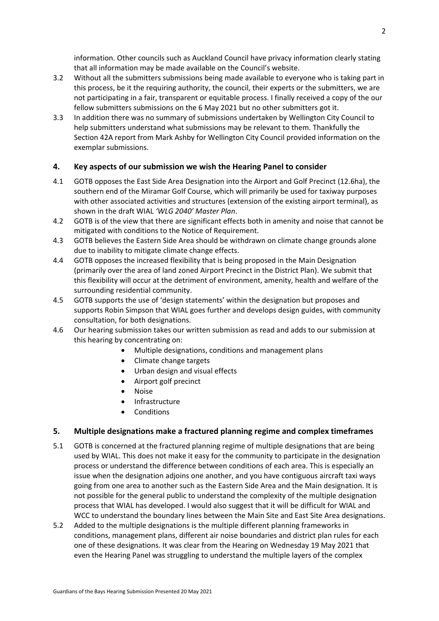information. Other councils such as Auckland Council have privacy information clearly stating that all information may be made available on the Council's website.

- 3.2 Without all the submitters submissions being made available to everyone who is taking part in this process, be it the requiring authority, the council, their experts or the submitters, we are not participating in a fair, transparent or equitable process. I finally received a copy of the our fellow submitters submissions on the 6 May 2021 but no other submitters got it.
- 3.3 In addition there was no summary of submissions undertaken by Wellington City Council to help submitters understand what submissions may be relevant to them. Thankfully the Section 42A report from Mark Ashby for Wellington City Council provided information on the exemplar submissions.

## **4. Key aspects of our submission we wish the Hearing Panel to consider**

- 4.1 GOTB opposes the East Side Area Designation into the Airport and Golf Precinct (12.6ha), the southern end of the Miramar Golf Course, which will primarily be used for taxiway purposes with other associated activities and structures (extension of the existing airport terminal), as shown in the draft WIAL *'WLG 2040' Master Plan*.
- 4.2 GOTB is of the view that there are significant effects both in amenity and noise that cannot be mitigated with conditions to the Notice of Requirement.
- 4.3 GOTB believes the Eastern Side Area should be withdrawn on climate change grounds alone due to inability to mitigate climate change effects.
- 4.4 GOTB opposes the increased flexibility that is being proposed in the Main Designation (primarily over the area of land zoned Airport Precinct in the District Plan). We submit that this flexibility will occur at the detriment of environment, amenity, health and welfare of the surrounding residential community.
- 4.5 GOTB supports the use of 'design statements' within the designation but proposes and supports Robin Simpson that WIAL goes further and develops design guides, with community consultation, for both designations.
- 4.6 Our hearing submission takes our written submission as read and adds to our submission at this hearing by concentrating on:
	- Multiple designations, conditions and management plans
	- Climate change targets
	- Urban design and visual effects
	- Airport golf precinct
	- Noise
	- Infrastructure
	- **Conditions**

#### **5. Multiple designations make a fractured planning regime and complex timeframes**

- 5.1 GOTB is concerned at the fractured planning regime of multiple designations that are being used by WIAL. This does not make it easy for the community to participate in the designation process or understand the difference between conditions of each area. This is especially an issue when the designation adjoins one another, and you have contiguous aircraft taxi ways going from one area to another such as the Eastern Side Area and the Main designation. It is not possible for the general public to understand the complexity of the multiple designation process that WIAL has developed. I would also suggest that it will be difficult for WIAL and WCC to understand the boundary lines between the Main Site and East Site Area designations.
- 5.2 Added to the multiple designations is the multiple different planning frameworks in conditions, management plans, different air noise boundaries and district plan rules for each one of these designations. It was clear from the Hearing on Wednesday 19 May 2021 that even the Hearing Panel was struggling to understand the multiple layers of the complex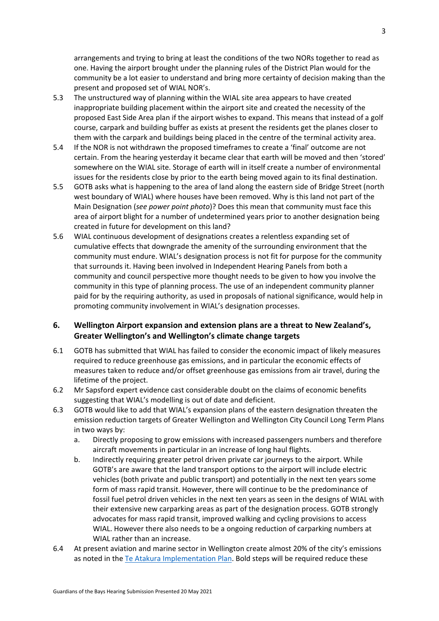arrangements and trying to bring at least the conditions of the two NORs together to read as one. Having the airport brought under the planning rules of the District Plan would for the community be a lot easier to understand and bring more certainty of decision making than the present and proposed set of WIAL NOR's.

- 5.3 The unstructured way of planning within the WIAL site area appears to have created inappropriate building placement within the airport site and created the necessity of the proposed East Side Area plan if the airport wishes to expand. This means that instead of a golf course, carpark and building buffer as exists at present the residents get the planes closer to them with the carpark and buildings being placed in the centre of the terminal activity area.
- 5.4 If the NOR is not withdrawn the proposed timeframes to create a 'final' outcome are not certain. From the hearing yesterday it became clear that earth will be moved and then 'stored' somewhere on the WIAL site. Storage of earth will in itself create a number of environmental issues for the residents close by prior to the earth being moved again to its final destination.
- 5.5 GOTB asks what is happening to the area of land along the eastern side of Bridge Street (north west boundary of WIAL) where houses have been removed. Why is this land not part of the Main Designation (*see power point photo*)? Does this mean that community must face this area of airport blight for a number of undetermined years prior to another designation being created in future for development on this land?
- 5.6 WIAL continuous development of designations creates a relentless expanding set of cumulative effects that downgrade the amenity of the surrounding environment that the community must endure. WIAL's designation process is not fit for purpose for the community that surrounds it. Having been involved in Independent Hearing Panels from both a community and council perspective more thought needs to be given to how you involve the community in this type of planning process. The use of an independent community planner paid for by the requiring authority, as used in proposals of national significance, would help in promoting community involvement in WIAL's designation processes.

## **6. Wellington Airport expansion and extension plans are a threat to New Zealand's, Greater Wellington's and Wellington's climate change targets**

- 6.1 GOTB has submitted that WIAL has failed to consider the economic impact of likely measures required to reduce greenhouse gas emissions, and in particular the economic effects of measures taken to reduce and/or offset greenhouse gas emissions from air travel, during the lifetime of the project.
- 6.2 Mr Sapsford expert evidence cast considerable doubt on the claims of economic benefits suggesting that WIAL's modelling is out of date and deficient.
- 6.3 GOTB would like to add that WIAL's expansion plans of the eastern designation threaten the emission reduction targets of Greater Wellington and Wellington City Council Long Term Plans in two ways by:
	- a. Directly proposing to grow emissions with increased passengers numbers and therefore aircraft movements in particular in an increase of long haul flights.
	- b. Indirectly requiring greater petrol driven private car journeys to the airport. While GOTB's are aware that the land transport options to the airport will include electric vehicles (both private and public transport) and potentially in the next ten years some form of mass rapid transit. However, there will continue to be the predominance of fossil fuel petrol driven vehicles in the next ten years as seen in the designs of WIAL with their extensive new carparking areas as part of the designation process. GOTB strongly advocates for mass rapid transit, improved walking and cycling provisions to access WIAL. However there also needs to be a ongoing reduction of carparking numbers at WIAL rather than an increase.
- 6.4 At present aviation and marine sector in Wellington create almost 20% of the city's emissions as noted in th[e Te Atakura Implementation Plan.](https://wellington.govt.nz/-/media/environment-and-sustainability/environment/files/te-atakura-first-zero-implentation-plan.pdf) Bold steps will be required reduce these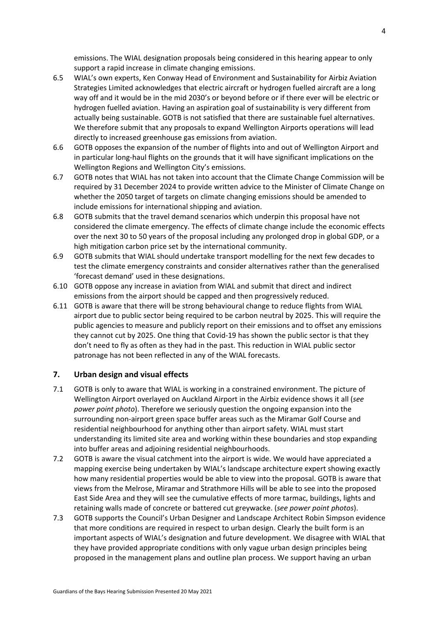emissions. The WIAL designation proposals being considered in this hearing appear to only support a rapid increase in climate changing emissions.

- 6.5 WIAL's own experts, Ken Conway Head of Environment and Sustainability for Airbiz Aviation Strategies Limited acknowledges that electric aircraft or hydrogen fuelled aircraft are a long way off and it would be in the mid 2030's or beyond before or if there ever will be electric or hydrogen fuelled aviation. Having an aspiration goal of sustainability is very different from actually being sustainable. GOTB is not satisfied that there are sustainable fuel alternatives. We therefore submit that any proposals to expand Wellington Airports operations will lead directly to increased greenhouse gas emissions from aviation.
- 6.6 GOTB opposes the expansion of the number of flights into and out of Wellington Airport and in particular long-haul flights on the grounds that it will have significant implications on the Wellington Regions and Wellington City's emissions.
- 6.7 GOTB notes that WIAL has not taken into account that the Climate Change Commission will be required by 31 December 2024 to provide written advice to the Minister of Climate Change on whether the 2050 target of targets on climate changing emissions should be amended to include emissions for international shipping and aviation.
- 6.8 GOTB submits that the travel demand scenarios which underpin this proposal have not considered the climate emergency. The effects of climate change include the economic effects over the next 30 to 50 years of the proposal including any prolonged drop in global GDP, or a high mitigation carbon price set by the international community.
- 6.9 GOTB submits that WIAL should undertake transport modelling for the next few decades to test the climate emergency constraints and consider alternatives rather than the generalised 'forecast demand' used in these designations.
- 6.10 GOTB oppose any increase in aviation from WIAL and submit that direct and indirect emissions from the airport should be capped and then progressively reduced.
- 6.11 GOTB is aware that there will be strong behavioural change to reduce flights from WIAL airport due to public sector being required to be carbon neutral by 2025. This will require the public agencies to measure and publicly report on their emissions and to offset any emissions they cannot cut by 2025. One thing that Covid-19 has shown the public sector is that they don't need to fly as often as they had in the past. This reduction in WIAL public sector patronage has not been reflected in any of the WIAL forecasts.

## **7. Urban design and visual effects**

- 7.1 GOTB is only to aware that WIAL is working in a constrained environment. The picture of Wellington Airport overlayed on Auckland Airport in the Airbiz evidence shows it all (*see power point photo*). Therefore we seriously question the ongoing expansion into the surrounding non-airport green space buffer areas such as the Miramar Golf Course and residential neighbourhood for anything other than airport safety. WIAL must start understanding its limited site area and working within these boundaries and stop expanding into buffer areas and adjoining residential neighbourhoods.
- 7.2 GOTB is aware the visual catchment into the airport is wide. We would have appreciated a mapping exercise being undertaken by WIAL's landscape architecture expert showing exactly how many residential properties would be able to view into the proposal. GOTB is aware that views from the Melrose, Miramar and Strathmore Hills will be able to see into the proposed East Side Area and they will see the cumulative effects of more tarmac, buildings, lights and retaining walls made of concrete or battered cut greywacke. (*see power point photos*).
- 7.3 GOTB supports the Council's Urban Designer and Landscape Architect Robin Simpson evidence that more conditions are required in respect to urban design. Clearly the built form is an important aspects of WIAL's designation and future development. We disagree with WIAL that they have provided appropriate conditions with only vague urban design principles being proposed in the management plans and outline plan process. We support having an urban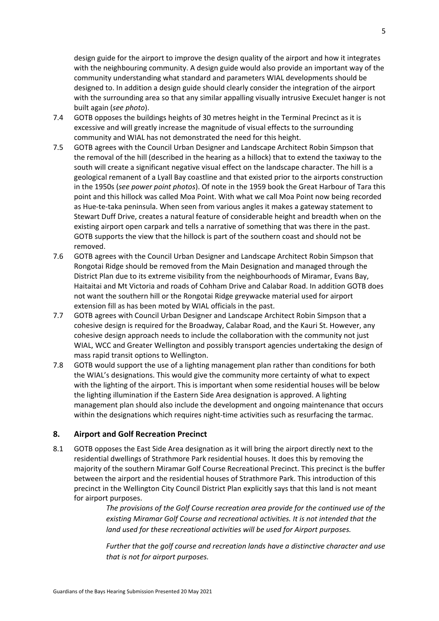design guide for the airport to improve the design quality of the airport and how it integrates with the neighbouring community. A design guide would also provide an important way of the community understanding what standard and parameters WIAL developments should be designed to. In addition a design guide should clearly consider the integration of the airport with the surrounding area so that any similar appalling visually intrusive ExecuJet hanger is not built again (*see photo*).

- 7.4 GOTB opposes the buildings heights of 30 metres height in the Terminal Precinct as it is excessive and will greatly increase the magnitude of visual effects to the surrounding community and WIAL has not demonstrated the need for this height.
- 7.5 GOTB agrees with the Council Urban Designer and Landscape Architect Robin Simpson that the removal of the hill (described in the hearing as a hillock) that to extend the taxiway to the south will create a significant negative visual effect on the landscape character. The hill is a geological remanent of a Lyall Bay coastline and that existed prior to the airports construction in the 1950s (*see power point photos*). Of note in the 1959 book the Great Harbour of Tara this point and this hillock was called Moa Point. With what we call Moa Point now being recorded as Hue-te-taka peninsula. When seen from various angles it makes a gateway statement to Stewart Duff Drive, creates a natural feature of considerable height and breadth when on the existing airport open carpark and tells a narrative of something that was there in the past. GOTB supports the view that the hillock is part of the southern coast and should not be removed.
- 7.6 GOTB agrees with the Council Urban Designer and Landscape Architect Robin Simpson that Rongotai Ridge should be removed from the Main Designation and managed through the District Plan due to its extreme visibility from the neighbourhoods of Miramar, Evans Bay, Haitaitai and Mt Victoria and roads of Cohham Drive and Calabar Road. In addition GOTB does not want the southern hill or the Rongotai Ridge greywacke material used for airport extension fill as has been moted by WIAL officials in the past.
- 7.7 GOTB agrees with Council Urban Designer and Landscape Architect Robin Simpson that a cohesive design is required for the Broadway, Calabar Road, and the Kauri St. However, any cohesive design approach needs to include the collaboration with the community not just WIAL, WCC and Greater Wellington and possibly transport agencies undertaking the design of mass rapid transit options to Wellington.
- 7.8 GOTB would support the use of a lighting management plan rather than conditions for both the WIAL's designations. This would give the community more certainty of what to expect with the lighting of the airport. This is important when some residential houses will be below the lighting illumination if the Eastern Side Area designation is approved. A lighting management plan should also include the development and ongoing maintenance that occurs within the designations which requires night-time activities such as resurfacing the tarmac.

#### **8. Airport and Golf Recreation Precinct**

8.1 GOTB opposes the East Side Area designation as it will bring the airport directly next to the residential dwellings of Strathmore Park residential houses. It does this by removing the majority of the southern Miramar Golf Course Recreational Precinct. This precinct is the buffer between the airport and the residential houses of Strathmore Park. This introduction of this precinct in the Wellington City Council District Plan explicitly says that this land is not meant for airport purposes.

> *The provisions of the Golf Course recreation area provide for the continued use of the existing Miramar Golf Course and recreational activities. It is not intended that the land used for these recreational activities will be used for Airport purposes.*

> *Further that the golf course and recreation lands have a distinctive character and use that is not for airport purposes.*